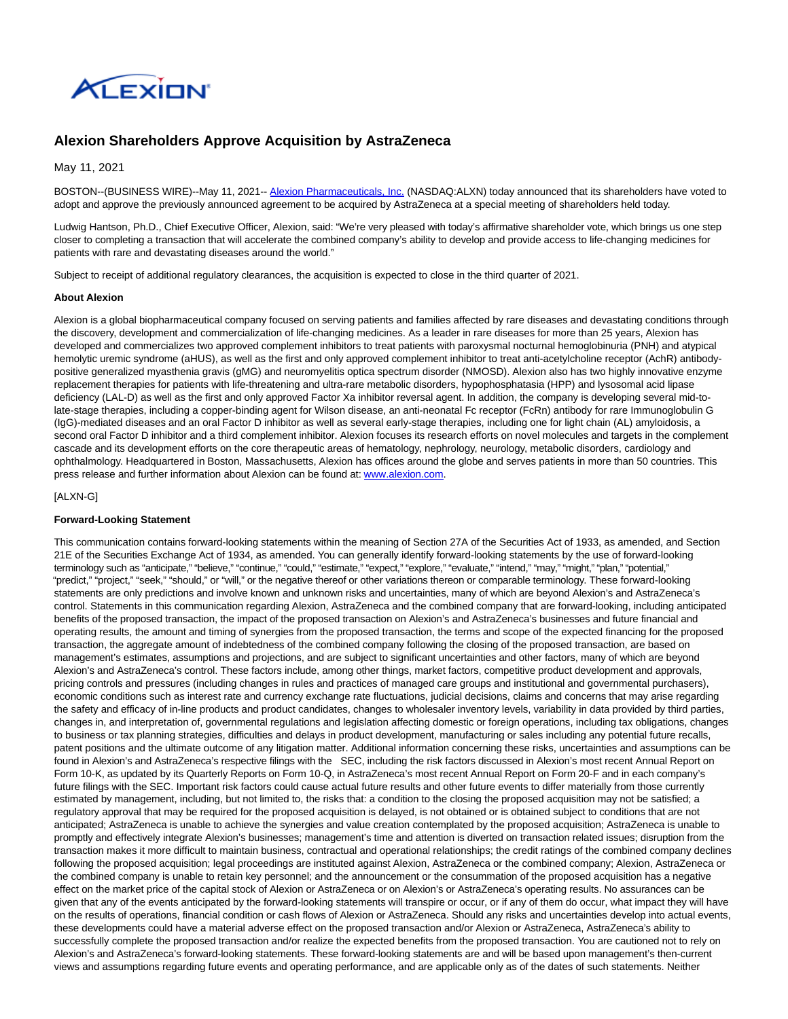

# **Alexion Shareholders Approve Acquisition by AstraZeneca**

May 11, 2021

BOSTON--(BUSINESS WIRE)--May 11, 2021-- [Alexion Pharmaceuticals, Inc. \(](https://cts.businesswire.com/ct/CT?id=smartlink&url=http%3A%2F%2Fwww.alexion.com%2F&esheet=52426805&newsitemid=20210511005775&lan=en-US&anchor=Alexion+Pharmaceuticals%2C+Inc.&index=1&md5=e4c0ace4f7ddcae910b41dc0a1692953)NASDAQ:ALXN) today announced that its shareholders have voted to adopt and approve the previously announced agreement to be acquired by AstraZeneca at a special meeting of shareholders held today.

Ludwig Hantson, Ph.D., Chief Executive Officer, Alexion, said: "We're very pleased with today's affirmative shareholder vote, which brings us one step closer to completing a transaction that will accelerate the combined company's ability to develop and provide access to life-changing medicines for patients with rare and devastating diseases around the world."

Subject to receipt of additional regulatory clearances, the acquisition is expected to close in the third quarter of 2021.

### **About Alexion**

Alexion is a global biopharmaceutical company focused on serving patients and families affected by rare diseases and devastating conditions through the discovery, development and commercialization of life-changing medicines. As a leader in rare diseases for more than 25 years, Alexion has developed and commercializes two approved complement inhibitors to treat patients with paroxysmal nocturnal hemoglobinuria (PNH) and atypical hemolytic uremic syndrome (aHUS), as well as the first and only approved complement inhibitor to treat anti-acetylcholine receptor (AchR) antibodypositive generalized myasthenia gravis (gMG) and neuromyelitis optica spectrum disorder (NMOSD). Alexion also has two highly innovative enzyme replacement therapies for patients with life-threatening and ultra-rare metabolic disorders, hypophosphatasia (HPP) and lysosomal acid lipase deficiency (LAL-D) as well as the first and only approved Factor Xa inhibitor reversal agent. In addition, the company is developing several mid-tolate-stage therapies, including a copper-binding agent for Wilson disease, an anti-neonatal Fc receptor (FcRn) antibody for rare Immunoglobulin G (IgG)-mediated diseases and an oral Factor D inhibitor as well as several early-stage therapies, including one for light chain (AL) amyloidosis, a second oral Factor D inhibitor and a third complement inhibitor. Alexion focuses its research efforts on novel molecules and targets in the complement cascade and its development efforts on the core therapeutic areas of hematology, nephrology, neurology, metabolic disorders, cardiology and ophthalmology. Headquartered in Boston, Massachusetts, Alexion has offices around the globe and serves patients in more than 50 countries. This press release and further information about Alexion can be found at: [www.alexion.com.](https://cts.businesswire.com/ct/CT?id=smartlink&url=http%3A%2F%2Fwww.alexion.com&esheet=52426805&newsitemid=20210511005775&lan=en-US&anchor=www.alexion.com&index=2&md5=1a0ec8649af92b853aa0c8fb662483f4)

## [ALXN-G]

### **Forward-Looking Statement**

This communication contains forward-looking statements within the meaning of Section 27A of the Securities Act of 1933, as amended, and Section 21E of the Securities Exchange Act of 1934, as amended. You can generally identify forward-looking statements by the use of forward-looking terminology such as "anticipate," "believe," "continue," "could," "estimate," "expect," "explore," "evaluate," "intend," "may," "might," "plan," "potential," "predict," "project," "seek," "should," or "will," or the negative thereof or other variations thereon or comparable terminology. These forward-looking statements are only predictions and involve known and unknown risks and uncertainties, many of which are beyond Alexion's and AstraZeneca's control. Statements in this communication regarding Alexion, AstraZeneca and the combined company that are forward-looking, including anticipated benefits of the proposed transaction, the impact of the proposed transaction on Alexion's and AstraZeneca's businesses and future financial and operating results, the amount and timing of synergies from the proposed transaction, the terms and scope of the expected financing for the proposed transaction, the aggregate amount of indebtedness of the combined company following the closing of the proposed transaction, are based on management's estimates, assumptions and projections, and are subject to significant uncertainties and other factors, many of which are beyond Alexion's and AstraZeneca's control. These factors include, among other things, market factors, competitive product development and approvals, pricing controls and pressures (including changes in rules and practices of managed care groups and institutional and governmental purchasers), economic conditions such as interest rate and currency exchange rate fluctuations, judicial decisions, claims and concerns that may arise regarding the safety and efficacy of in-line products and product candidates, changes to wholesaler inventory levels, variability in data provided by third parties, changes in, and interpretation of, governmental regulations and legislation affecting domestic or foreign operations, including tax obligations, changes to business or tax planning strategies, difficulties and delays in product development, manufacturing or sales including any potential future recalls, patent positions and the ultimate outcome of any litigation matter. Additional information concerning these risks, uncertainties and assumptions can be found in Alexion's and AstraZeneca's respective filings with the SEC, including the risk factors discussed in Alexion's most recent Annual Report on Form 10-K, as updated by its Quarterly Reports on Form 10-Q, in AstraZeneca's most recent Annual Report on Form 20-F and in each company's future filings with the SEC. Important risk factors could cause actual future results and other future events to differ materially from those currently estimated by management, including, but not limited to, the risks that: a condition to the closing the proposed acquisition may not be satisfied; a regulatory approval that may be required for the proposed acquisition is delayed, is not obtained or is obtained subject to conditions that are not anticipated; AstraZeneca is unable to achieve the synergies and value creation contemplated by the proposed acquisition; AstraZeneca is unable to promptly and effectively integrate Alexion's businesses; management's time and attention is diverted on transaction related issues; disruption from the transaction makes it more difficult to maintain business, contractual and operational relationships; the credit ratings of the combined company declines following the proposed acquisition; legal proceedings are instituted against Alexion, AstraZeneca or the combined company; Alexion, AstraZeneca or the combined company is unable to retain key personnel; and the announcement or the consummation of the proposed acquisition has a negative effect on the market price of the capital stock of Alexion or AstraZeneca or on Alexion's or AstraZeneca's operating results. No assurances can be given that any of the events anticipated by the forward-looking statements will transpire or occur, or if any of them do occur, what impact they will have on the results of operations, financial condition or cash flows of Alexion or AstraZeneca. Should any risks and uncertainties develop into actual events, these developments could have a material adverse effect on the proposed transaction and/or Alexion or AstraZeneca, AstraZeneca's ability to successfully complete the proposed transaction and/or realize the expected benefits from the proposed transaction. You are cautioned not to rely on Alexion's and AstraZeneca's forward-looking statements. These forward-looking statements are and will be based upon management's then-current views and assumptions regarding future events and operating performance, and are applicable only as of the dates of such statements. Neither